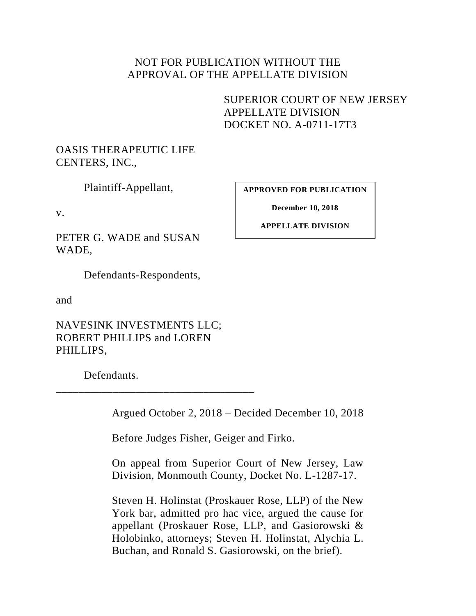## NOT FOR PUBLICATION WITHOUT THE APPROVAL OF THE APPELLATE DIVISION

<span id="page-0-0"></span>SUPERIOR COURT OF NEW JERSEY APPELLATE DIVISION DOCKET NO. A-0711-17T3

# OASIS THERAPEUTIC LIFE CENTERS, INC.,

Plaintiff-Appellant,

v.

PETER G. WADE and SUSAN WADE,

Defendants-Respondents,

and

NAVESINK INVESTMENTS LLC; ROBERT PHILLIPS and LOREN PHILLIPS,

\_\_\_\_\_\_\_\_\_\_\_\_\_\_\_\_\_\_\_\_\_\_\_\_\_\_\_\_\_\_\_\_\_\_\_

Defendants.

Argued October 2, 2018 – Decided December 10, 2018

Before Judges Fisher, Geiger and Firko.

On appeal from Superior Court of New Jersey, Law Division, Monmouth County, Docket No. L-1287-17.

Steven H. Holinstat (Proskauer Rose, LLP) of the New York bar, admitted pro hac vice, argued the cause for appellant (Proskauer Rose, LLP, and Gasiorowski & Holobinko, attorneys; Steven H. Holinstat, Alychia L. Buchan, and Ronald S. Gasiorowski, on the brief).

**APPROVED FOR PUBLICATION**

**December 10, 2018**

**APPELLATE DIVISION**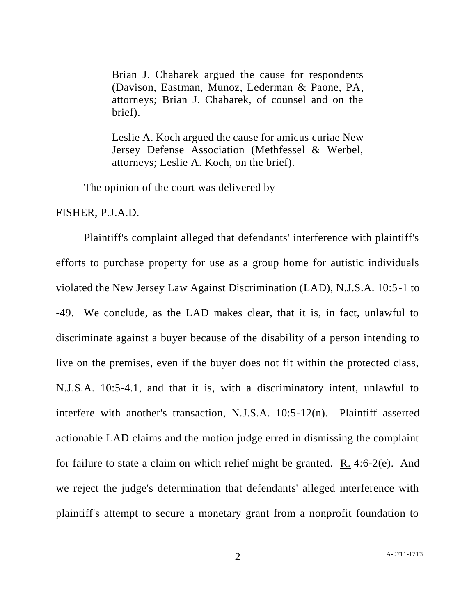Brian J. Chabarek argued the cause for respondents (Davison, Eastman, Munoz, Lederman & Paone, PA, attorneys; Brian J. Chabarek, of counsel and on the brief).

Leslie A. Koch argued the cause for amicus curiae New Jersey Defense Association (Methfessel & Werbel, attorneys; Leslie A. Koch, on the brief).

The opinion of the court was delivered by

FISHER, P.J.A.D.

Plaintiff's complaint alleged that defendants' interference with plaintiff's efforts to purchase property for use as a group home for autistic individuals violated the New Jersey Law Against Discrimination (LAD), N.J.S.A. 10:5-1 to -49. We conclude, as the LAD makes clear, that it is, in fact, unlawful to discriminate against a buyer because of the disability of a person intending to live on the premises, even if the buyer does not fit within the protected class, N.J.S.A. 10:5-4.1, and that it is, with a discriminatory intent, unlawful to interfere with another's transaction, N.J.S.A. 10:5-12(n). Plaintiff asserted actionable LAD claims and the motion judge erred in dismissing the complaint for failure to state a claim on which relief might be granted. R. 4:6-2(e). And we reject the judge's determination that defendants' alleged interference with plaintiff's attempt to secure a monetary grant from a nonprofit foundation to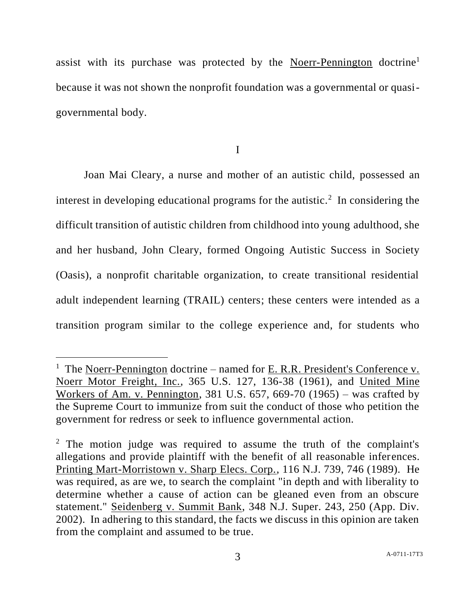assist with its purchase was protected by the Noerr-Pennington doctrine<sup>1</sup> because it was not shown the nonprofit foundation was a governmental or quasigovernmental body.

I

Joan Mai Cleary, a nurse and mother of an autistic child, possessed an interest in developing educational programs for the autistic.<sup>2</sup> In considering the difficult transition of autistic children from childhood into young adulthood, she and her husband, John Cleary, formed Ongoing Autistic Success in Society (Oasis), a nonprofit charitable organization, to create transitional residential adult independent learning (TRAIL) centers; these centers were intended as a transition program similar to the college experience and, for students who

 $\overline{a}$ 

<sup>&</sup>lt;sup>1</sup> The Noerr-Pennington doctrine – named for <u>E. R.R. President's Conference v.</u> Noerr Motor Freight, Inc., 365 U.S. 127, 136-38 (1961), and United Mine Workers of Am. v. Pennington, 381 U.S. 657, 669-70 (1965) – was crafted by the Supreme Court to immunize from suit the conduct of those who petition the government for redress or seek to influence governmental action.

<sup>&</sup>lt;sup>2</sup> The motion judge was required to assume the truth of the complaint's allegations and provide plaintiff with the benefit of all reasonable inferences. Printing Mart-Morristown v. Sharp Elecs. Corp., 116 N.J. 739, 746 (1989). He was required, as are we, to search the complaint "in depth and with liberality to determine whether a cause of action can be gleaned even from an obscure statement." Seidenberg v. Summit Bank, 348 N.J. Super. 243, 250 (App. Div. 2002). In adhering to this standard, the facts we discuss in this opinion are taken from the complaint and assumed to be true.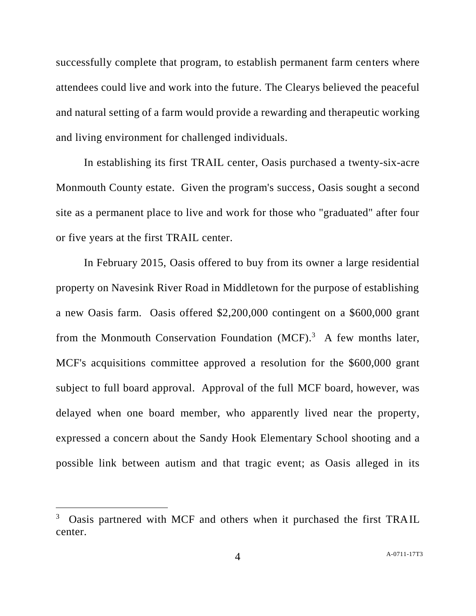successfully complete that program, to establish permanent farm centers where attendees could live and work into the future. The Clearys believed the peaceful and natural setting of a farm would provide a rewarding and therapeutic working and living environment for challenged individuals.

In establishing its first TRAIL center, Oasis purchased a twenty-six-acre Monmouth County estate. Given the program's success, Oasis sought a second site as a permanent place to live and work for those who "graduated" after four or five years at the first TRAIL center.

In February 2015, Oasis offered to buy from its owner a large residential property on Navesink River Road in Middletown for the purpose of establishing a new Oasis farm. Oasis offered \$2,200,000 contingent on a \$600,000 grant from the Monmouth Conservation Foundation  $(MCF)<sup>3</sup>$  A few months later, MCF's acquisitions committee approved a resolution for the \$600,000 grant subject to full board approval. Approval of the full MCF board, however, was delayed when one board member, who apparently lived near the property, expressed a concern about the Sandy Hook Elementary School shooting and a possible link between autism and that tragic event; as Oasis alleged in its

<sup>&</sup>lt;sup>3</sup> Oasis partnered with MCF and others when it purchased the first TRAIL center.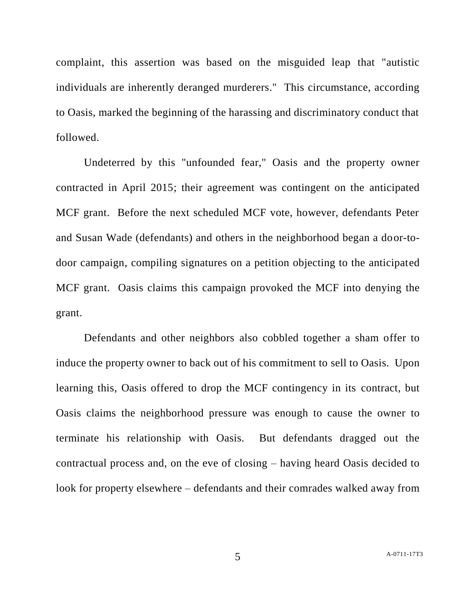complaint, this assertion was based on the misguided leap that "autistic individuals are inherently deranged murderers." This circumstance, according to Oasis, marked the beginning of the harassing and discriminatory conduct that followed.

Undeterred by this "unfounded fear," Oasis and the property owner contracted in April 2015; their agreement was contingent on the anticipated MCF grant. Before the next scheduled MCF vote, however, defendants Peter and Susan Wade (defendants) and others in the neighborhood began a door-todoor campaign, compiling signatures on a petition objecting to the anticipated MCF grant. Oasis claims this campaign provoked the MCF into denying the grant.

Defendants and other neighbors also cobbled together a sham offer to induce the property owner to back out of his commitment to sell to Oasis. Upon learning this, Oasis offered to drop the MCF contingency in its contract, but Oasis claims the neighborhood pressure was enough to cause the owner to terminate his relationship with Oasis. But defendants dragged out the contractual process and, on the eve of closing – having heard Oasis decided to look for property elsewhere – defendants and their comrades walked away from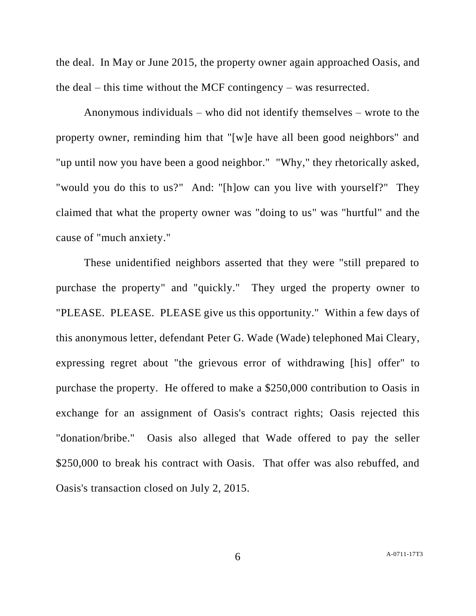the deal. In May or June 2015, the property owner again approached Oasis, and the deal – this time without the MCF contingency – was resurrected.

Anonymous individuals – who did not identify themselves – wrote to the property owner, reminding him that "[w]e have all been good neighbors" and "up until now you have been a good neighbor." "Why," they rhetorically asked, "would you do this to us?" And: "[h]ow can you live with yourself?" They claimed that what the property owner was "doing to us" was "hurtful" and the cause of "much anxiety."

These unidentified neighbors asserted that they were "still prepared to purchase the property" and "quickly." They urged the property owner to "PLEASE. PLEASE. PLEASE give us this opportunity." Within a few days of this anonymous letter, defendant Peter G. Wade (Wade) telephoned Mai Cleary, expressing regret about "the grievous error of withdrawing [his] offer" to purchase the property. He offered to make a \$250,000 contribution to Oasis in exchange for an assignment of Oasis's contract rights; Oasis rejected this "donation/bribe." Oasis also alleged that Wade offered to pay the seller \$250,000 to break his contract with Oasis. That offer was also rebuffed, and Oasis's transaction closed on July 2, 2015.

6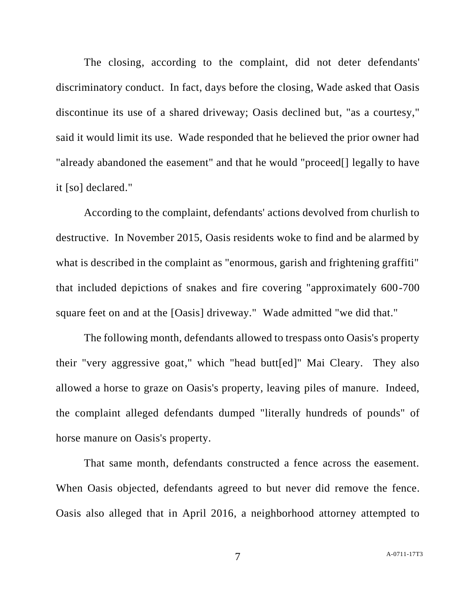The closing, according to the complaint, did not deter defendants' discriminatory conduct. In fact, days before the closing, Wade asked that Oasis discontinue its use of a shared driveway; Oasis declined but, "as a courtesy," said it would limit its use. Wade responded that he believed the prior owner had "already abandoned the easement" and that he would "proceed[] legally to have it [so] declared."

According to the complaint, defendants' actions devolved from churlish to destructive. In November 2015, Oasis residents woke to find and be alarmed by what is described in the complaint as "enormous, garish and frightening graffiti" that included depictions of snakes and fire covering "approximately 600-700 square feet on and at the [Oasis] driveway." Wade admitted "we did that."

The following month, defendants allowed to trespass onto Oasis's property their "very aggressive goat," which "head butt[ed]" Mai Cleary. They also allowed a horse to graze on Oasis's property, leaving piles of manure. Indeed, the complaint alleged defendants dumped "literally hundreds of pounds" of horse manure on Oasis's property.

That same month, defendants constructed a fence across the easement. When Oasis objected, defendants agreed to but never did remove the fence. Oasis also alleged that in April 2016, a neighborhood attorney attempted to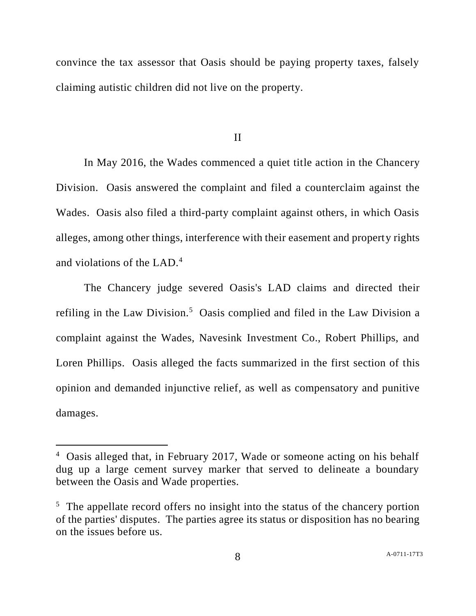convince the tax assessor that Oasis should be paying property taxes, falsely claiming autistic children did not live on the property.

II

In May 2016, the Wades commenced a quiet title action in the Chancery Division. Oasis answered the complaint and filed a counterclaim against the Wades. Oasis also filed a third-party complaint against others, in which Oasis alleges, among other things, interference with their easement and property rights and violations of the LAD.<sup>4</sup>

The Chancery judge severed Oasis's LAD claims and directed their refiling in the Law Division.<sup>5</sup> Oasis complied and filed in the Law Division a complaint against the Wades, Navesink Investment Co., Robert Phillips, and Loren Phillips. Oasis alleged the facts summarized in the first section of this opinion and demanded injunctive relief, as well as compensatory and punitive damages.

<sup>4</sup> Oasis alleged that, in February 2017, Wade or someone acting on his behalf dug up a large cement survey marker that served to delineate a boundary between the Oasis and Wade properties.

 $5$  The appellate record offers no insight into the status of the chancery portion of the parties' disputes. The parties agree its status or disposition has no bearing on the issues before us.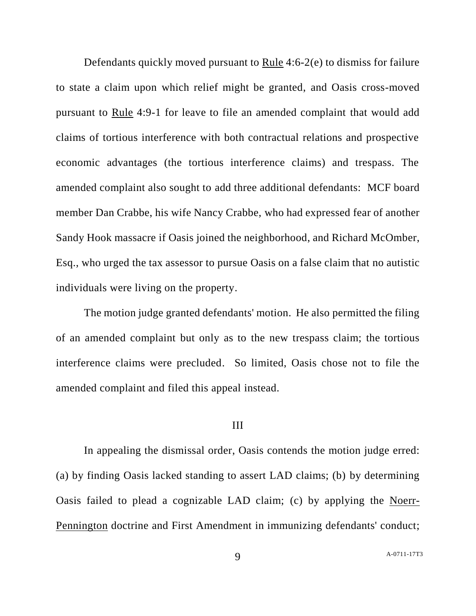Defendants quickly moved pursuant to Rule 4:6-2(e) to dismiss for failure to state a claim upon which relief might be granted, and Oasis cross-moved pursuant to Rule 4:9-1 for leave to file an amended complaint that would add claims of tortious interference with both contractual relations and prospective economic advantages (the tortious interference claims) and trespass. The amended complaint also sought to add three additional defendants: MCF board member Dan Crabbe, his wife Nancy Crabbe, who had expressed fear of another Sandy Hook massacre if Oasis joined the neighborhood, and Richard McOmber, Esq., who urged the tax assessor to pursue Oasis on a false claim that no autistic individuals were living on the property.

The motion judge granted defendants' motion. He also permitted the filing of an amended complaint but only as to the new trespass claim; the tortious interference claims were precluded. So limited, Oasis chose not to file the amended complaint and filed this appeal instead.

### III

In appealing the dismissal order, Oasis contends the motion judge erred: (a) by finding Oasis lacked standing to assert LAD claims; (b) by determining Oasis failed to plead a cognizable LAD claim; (c) by applying the Noerr-Pennington doctrine and First Amendment in immunizing defendants' conduct;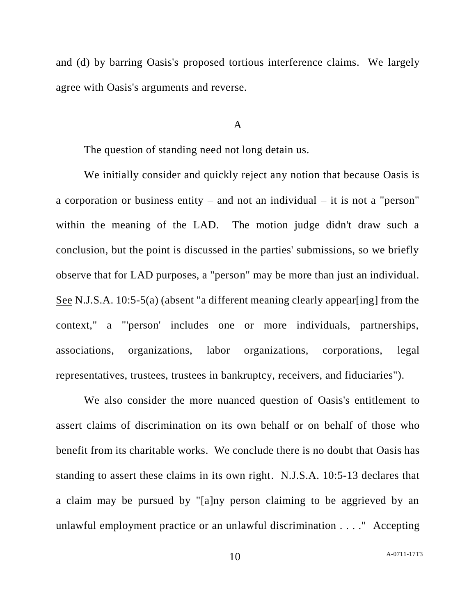and (d) by barring Oasis's proposed tortious interference claims. We largely agree with Oasis's arguments and reverse.

### A

The question of standing need not long detain us.

We initially consider and quickly reject any notion that because Oasis is a corporation or business entity – and not an individual – it is not a "person" within the meaning of the LAD. The motion judge didn't draw such a conclusion, but the point is discussed in the parties' submissions, so we briefly observe that for LAD purposes, a "person" may be more than just an individual. See N.J.S.A. 10:5-5(a) (absent "a different meaning clearly appear[ing] from the context," a "'person' includes one or more individuals, partnerships, associations, organizations, labor organizations, corporations, legal representatives, trustees, trustees in bankruptcy, receivers, and fiduciaries").

We also consider the more nuanced question of Oasis's entitlement to assert claims of discrimination on its own behalf or on behalf of those who benefit from its charitable works. We conclude there is no doubt that Oasis has standing to assert these claims in its own right. N.J.S.A. 10:5-13 declares that a claim may be pursued by "[a]ny person claiming to be aggrieved by an unlawful employment practice or an unlawful discrimination . . . ." Accepting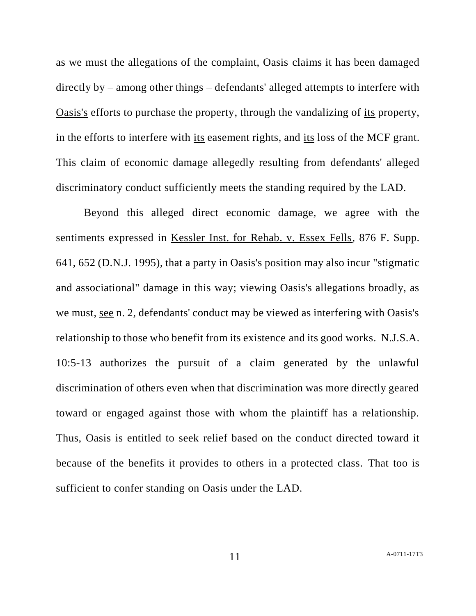as we must the allegations of the complaint, Oasis claims it has been damaged directly by – among other things – defendants' alleged attempts to interfere with Oasis's efforts to purchase the property, through the vandalizing of its property, in the efforts to interfere with its easement rights, and its loss of the MCF grant. This claim of economic damage allegedly resulting from defendants' alleged discriminatory conduct sufficiently meets the standing required by the LAD.

Beyond this alleged direct economic damage, we agree with the sentiments expressed in Kessler Inst. for Rehab. v. Essex Fells, 876 F. Supp. 641, 652 (D.N.J. 1995), that a party in Oasis's position may also incur "stigmatic and associational" damage in this way; viewing Oasis's allegations broadly, as we must, see n. 2, defendants' conduct may be viewed as interfering with Oasis's relationship to those who benefit from its existence and its good works. N.J.S.A. 10:5-13 authorizes the pursuit of a claim generated by the unlawful discrimination of others even when that discrimination was more directly geared toward or engaged against those with whom the plaintiff has a relationship. Thus, Oasis is entitled to seek relief based on the conduct directed toward it because of the benefits it provides to others in a protected class. That too is sufficient to confer standing on Oasis under the LAD.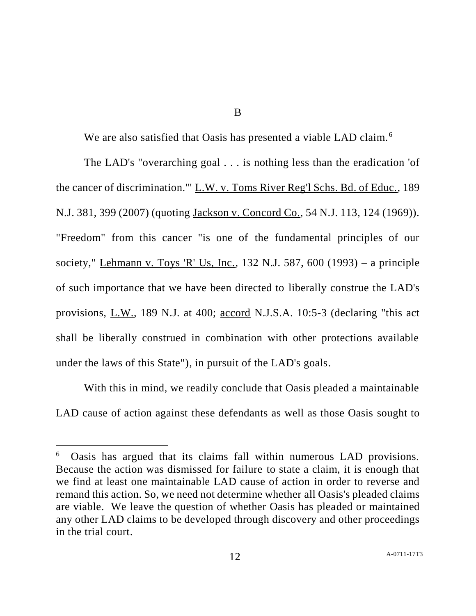B

We are also satisfied that Oasis has presented a viable LAD claim.<sup>6</sup>

The LAD's "overarching goal . . . is nothing less than the eradication 'of the cancer of discrimination.'" L.W. v. Toms River Reg'l Schs. Bd. of Educ., 189 N.J. 381, 399 (2007) (quoting Jackson v. Concord Co., 54 N.J. 113, 124 (1969)). "Freedom" from this cancer "is one of the fundamental principles of our society," Lehmann v. Toys 'R' Us, Inc., 132 N.J. 587, 600 (1993) – a principle of such importance that we have been directed to liberally construe the LAD's provisions, L.W., 189 N.J. at 400; accord N.J.S.A. 10:5-3 (declaring "this act shall be liberally construed in combination with other protections available under the laws of this State"), in pursuit of the LAD's goals.

With this in mind, we readily conclude that Oasis pleaded a maintainable LAD cause of action against these defendants as well as those Oasis sought to

<sup>6</sup> Oasis has argued that its claims fall within numerous LAD provisions. Because the action was dismissed for failure to state a claim, it is enough that we find at least one maintainable LAD cause of action in order to reverse and remand this action. So, we need not determine whether all Oasis's pleaded claims are viable. We leave the question of whether Oasis has pleaded or maintained any other LAD claims to be developed through discovery and other proceedings in the trial court.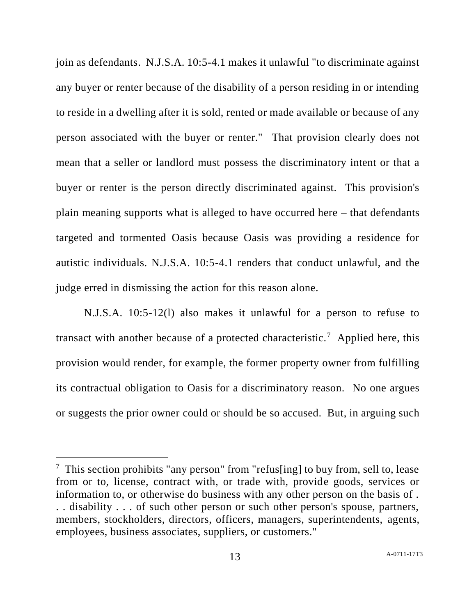join as defendants. N.J.S.A. 10:5-4.1 makes it unlawful "to discriminate against any buyer or renter because of the disability of a person residing in or intending to reside in a dwelling after it is sold, rented or made available or because of any person associated with the buyer or renter." That provision clearly does not mean that a seller or landlord must possess the discriminatory intent or that a buyer or renter is the person directly discriminated against. This provision's plain meaning supports what is alleged to have occurred here – that defendants targeted and tormented Oasis because Oasis was providing a residence for autistic individuals. N.J.S.A. 10:5-4.1 renders that conduct unlawful, and the judge erred in dismissing the action for this reason alone.

N.J.S.A. 10:5-12(l) also makes it unlawful for a person to refuse to transact with another because of a protected characteristic.<sup>7</sup> Applied here, this provision would render, for example, the former property owner from fulfilling its contractual obligation to Oasis for a discriminatory reason. No one argues or suggests the prior owner could or should be so accused. But, in arguing such

 $7$  This section prohibits "any person" from "refus[ing] to buy from, sell to, lease from or to, license, contract with, or trade with, provide goods, services or information to, or otherwise do business with any other person on the basis of . . . disability . . . of such other person or such other person's spouse, partners, members, stockholders, directors, officers, managers, superintendents, agents, employees, business associates, suppliers, or customers."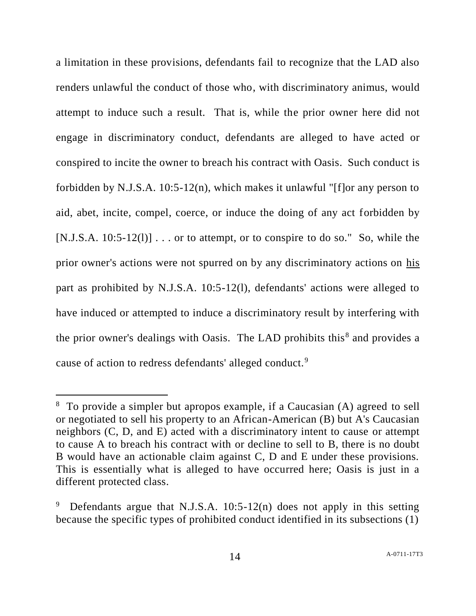a limitation in these provisions, defendants fail to recognize that the LAD also renders unlawful the conduct of those who, with discriminatory animus, would attempt to induce such a result. That is, while the prior owner here did not engage in discriminatory conduct, defendants are alleged to have acted or conspired to incite the owner to breach his contract with Oasis. Such conduct is forbidden by N.J.S.A. 10:5-12(n), which makes it unlawful "[f]or any person to aid, abet, incite, compel, coerce, or induce the doing of any act forbidden by [N.J.S.A.  $10:5-12(1)$ ] ... or to attempt, or to conspire to do so." So, while the prior owner's actions were not spurred on by any discriminatory actions on his part as prohibited by N.J.S.A. 10:5-12(l), defendants' actions were alleged to have induced or attempted to induce a discriminatory result by interfering with the prior owner's dealings with Oasis. The LAD prohibits this $8$  and provides a cause of action to redress defendants' alleged conduct.<sup>9</sup>

 $\overline{a}$ 

<sup>8</sup> To provide a simpler but apropos example, if a Caucasian (A) agreed to sell or negotiated to sell his property to an African-American (B) but A's Caucasian neighbors (C, D, and E) acted with a discriminatory intent to cause or attempt to cause A to breach his contract with or decline to sell to B, there is no doubt B would have an actionable claim against C, D and E under these provisions. This is essentially what is alleged to have occurred here; Oasis is just in a different protected class.

Defendants argue that N.J.S.A.  $10:5-12(n)$  does not apply in this setting because the specific types of prohibited conduct identified in its subsections (1)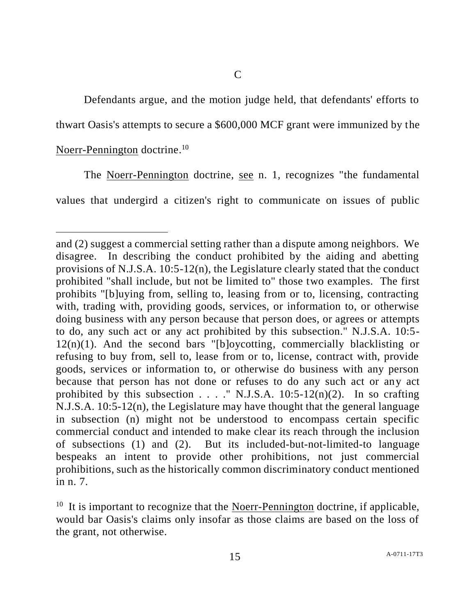Defendants argue, and the motion judge held, that defendants' efforts to thwart Oasis's attempts to secure a \$600,000 MCF grant were immunized by the

# Noerr-Pennington doctrine.<sup>10</sup>

l

The Noerr-Pennington doctrine, see n. 1, recognizes "the fundamental values that undergird a citizen's right to communicate on issues of public

and (2) suggest a commercial setting rather than a dispute among neighbors. We disagree. In describing the conduct prohibited by the aiding and abetting provisions of N.J.S.A. 10:5-12(n), the Legislature clearly stated that the conduct prohibited "shall include, but not be limited to" those two examples. The first prohibits "[b]uying from, selling to, leasing from or to, licensing, contracting with, trading with, providing goods, services, or information to, or otherwise doing business with any person because that person does, or agrees or attempts to do, any such act or any act prohibited by this subsection." N.J.S.A. 10:5-  $12(n)(1)$ . And the second bars "[b]oycotting, commercially blacklisting or refusing to buy from, sell to, lease from or to, license, contract with, provide goods, services or information to, or otherwise do business with any person because that person has not done or refuses to do any such act or any act prohibited by this subsection . . . ." N.J.S.A. 10:5-12(n)(2). In so crafting N.J.S.A. 10:5-12(n), the Legislature may have thought that the general language in subsection (n) might not be understood to encompass certain specific commercial conduct and intended to make clear its reach through the inclusion of subsections (1) and (2). But its included-but-not-limited-to language bespeaks an intent to provide other prohibitions, not just commercial prohibitions, such as the historically common discriminatory conduct mentioned in n. 7.

 $10$  It is important to recognize that the Noerr-Pennington doctrine, if applicable, would bar Oasis's claims only insofar as those claims are based on the loss of the grant, not otherwise.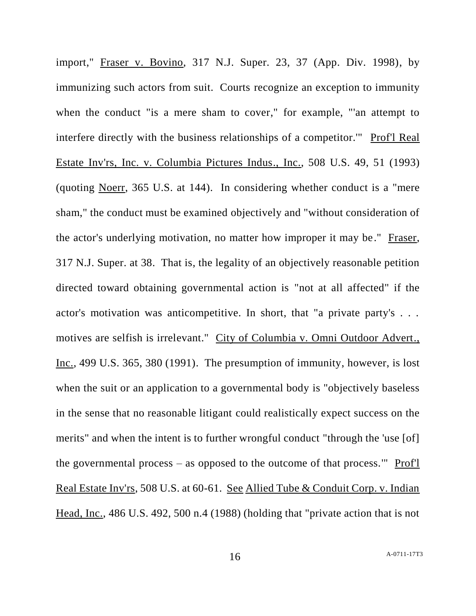import," Fraser v. Bovino, 317 N.J. Super. 23, 37 (App. Div. 1998), by immunizing such actors from suit. Courts recognize an exception to immunity when the conduct "is a mere sham to cover," for example, "'an attempt to interfere directly with the business relationships of a competitor.'" Prof'l Real Estate Inv'rs, Inc. v. Columbia Pictures Indus., Inc., 508 U.S. 49, 51 (1993) (quoting Noerr, 365 U.S. at 144). In considering whether conduct is a "mere sham," the conduct must be examined objectively and "without consideration of the actor's underlying motivation, no matter how improper it may be." Fraser, 317 N.J. Super. at 38. That is, the legality of an objectively reasonable petition directed toward obtaining governmental action is "not at all affected" if the actor's motivation was anticompetitive. In short, that "a private party's . . . motives are selfish is irrelevant." City of Columbia v. Omni Outdoor Advert., Inc., 499 U.S. 365, 380 (1991). The presumption of immunity, however, is lost when the suit or an application to a governmental body is "objectively baseless" in the sense that no reasonable litigant could realistically expect success on the merits" and when the intent is to further wrongful conduct "through the 'use [of] the governmental process – as opposed to the outcome of that process.'" Prof'l Real Estate Inv'rs, 508 U.S. at 60-61. See Allied Tube & Conduit Corp. v. Indian Head, Inc., 486 U.S. 492, 500 n.4 (1988) (holding that "private action that is not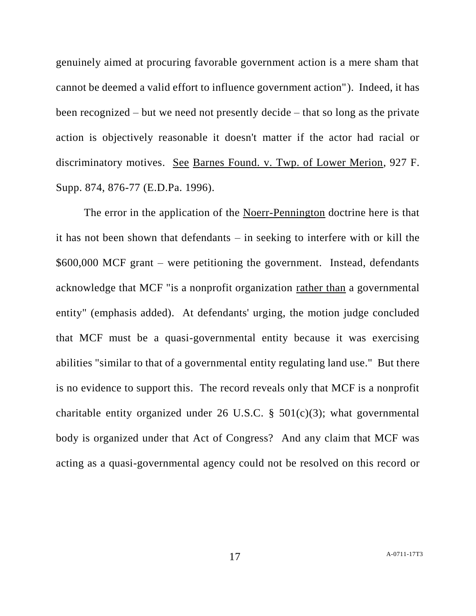genuinely aimed at procuring favorable government action is a mere sham that cannot be deemed a valid effort to influence government action"). Indeed, it has been recognized – but we need not presently decide – that so long as the private action is objectively reasonable it doesn't matter if the actor had racial or discriminatory motives. See Barnes Found. v. Twp. of Lower Merion, 927 F. Supp. 874, 876-77 (E.D.Pa. 1996).

The error in the application of the Noerr-Pennington doctrine here is that it has not been shown that defendants – in seeking to interfere with or kill the \$600,000 MCF grant – were petitioning the government. Instead, defendants acknowledge that MCF "is a nonprofit organization rather than a governmental entity" (emphasis added). At defendants' urging, the motion judge concluded that MCF must be a quasi-governmental entity because it was exercising abilities "similar to that of a governmental entity regulating land use." But there is no evidence to support this. The record reveals only that MCF is a nonprofit charitable entity organized under 26 U.S.C.  $\S$  501(c)(3); what governmental body is organized under that Act of Congress? And any claim that MCF was acting as a quasi-governmental agency could not be resolved on this record or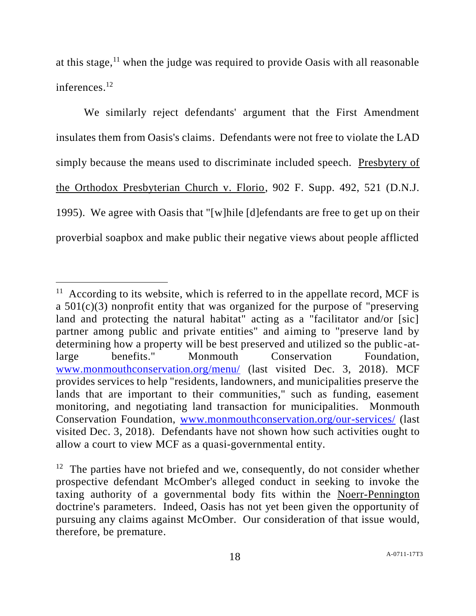at this stage,  $11$  when the judge was required to provide Oasis with all reasonable inferences. 12

We similarly reject defendants' argument that the First Amendment insulates them from Oasis's claims. Defendants were not free to violate the LAD simply because the means used to discriminate included speech. Presbytery of the Orthodox Presbyterian Church v. Florio, 902 F. Supp. 492, 521 (D.N.J. 1995). We agree with Oasis that "[w]hile [d]efendants are free to get up on their proverbial soapbox and make public their negative views about people afflicted

 $11$  According to its website, which is referred to in the appellate record, MCF is a 501(c)(3) nonprofit entity that was organized for the purpose of "preserving land and protecting the natural habitat" acting as a "facilitator and/or [sic] partner among public and private entities" and aiming to "preserve land by determining how a property will be best preserved and utilized so the public-atlarge benefits." Monmouth Conservation Foundation, [www.monmouthconservation.org/menu/](http://www.monmouthconservation.org/menu/) (last visited Dec. 3, 2018). MCF provides services to help "residents, landowners, and municipalities preserve the lands that are important to their communities," such as funding, easement monitoring, and negotiating land transaction for municipalities. Monmouth Conservation Foundation, [www.monmouthconservation.org/our-services/](http://www.monmouthconservation.org/our-services/) (last visited Dec. 3, 2018). Defendants have not shown how such activities ought to allow a court to view MCF as a quasi-governmental entity.

 $12$  The parties have not briefed and we, consequently, do not consider whether prospective defendant McOmber's alleged conduct in seeking to invoke the taxing authority of a governmental body fits within the Noerr-Pennington doctrine's parameters. Indeed, Oasis has not yet been given the opportunity of pursuing any claims against McOmber. Our consideration of that issue would, therefore, be premature.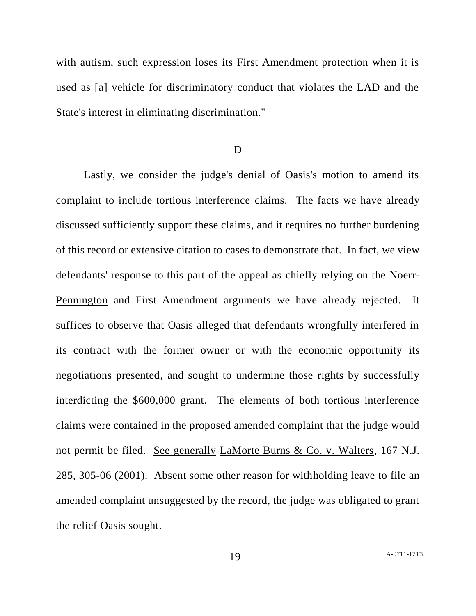with autism, such expression loses its First Amendment protection when it is used as [a] vehicle for discriminatory conduct that violates the LAD and the State's interest in eliminating discrimination."

#### D

Lastly, we consider the judge's denial of Oasis's motion to amend its complaint to include tortious interference claims. The facts we have already discussed sufficiently support these claims, and it requires no further burdening of this record or extensive citation to cases to demonstrate that. In fact, we view defendants' response to this part of the appeal as chiefly relying on the Noerr-Pennington and First Amendment arguments we have already rejected. It suffices to observe that Oasis alleged that defendants wrongfully interfered in its contract with the former owner or with the economic opportunity its negotiations presented, and sought to undermine those rights by successfully interdicting the \$600,000 grant. The elements of both tortious interference claims were contained in the proposed amended complaint that the judge would not permit be filed. See generally LaMorte Burns & Co. v. Walters, 167 N.J. 285, 305-06 (2001). Absent some other reason for withholding leave to file an amended complaint unsuggested by the record, the judge was obligated to grant the relief Oasis sought.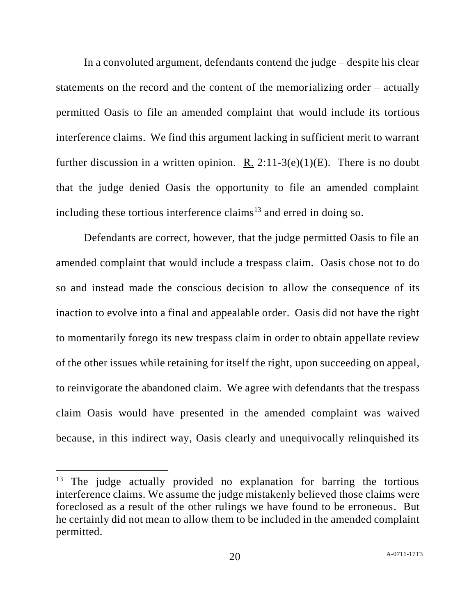In a convoluted argument, defendants contend the judge – despite his clear statements on the record and the content of the memorializing order – actually permitted Oasis to file an amended complaint that would include its tortious interference claims. We find this argument lacking in sufficient merit to warrant further discussion in a written opinion. R.  $2:11-3(e)(1)(E)$ . There is no doubt that the judge denied Oasis the opportunity to file an amended complaint including these tortious interference claims<sup>13</sup> and erred in doing so.

Defendants are correct, however, that the judge permitted Oasis to file an amended complaint that would include a trespass claim. Oasis chose not to do so and instead made the conscious decision to allow the consequence of its inaction to evolve into a final and appealable order. Oasis did not have the right to momentarily forego its new trespass claim in order to obtain appellate review of the other issues while retaining for itself the right, upon succeeding on appeal, to reinvigorate the abandoned claim. We agree with defendants that the trespass claim Oasis would have presented in the amended complaint was waived because, in this indirect way, Oasis clearly and unequivocally relinquished its

<sup>&</sup>lt;sup>13</sup> The judge actually provided no explanation for barring the tortious interference claims. We assume the judge mistakenly believed those claims were foreclosed as a result of the other rulings we have found to be erroneous. But he certainly did not mean to allow them to be included in the amended complaint permitted.